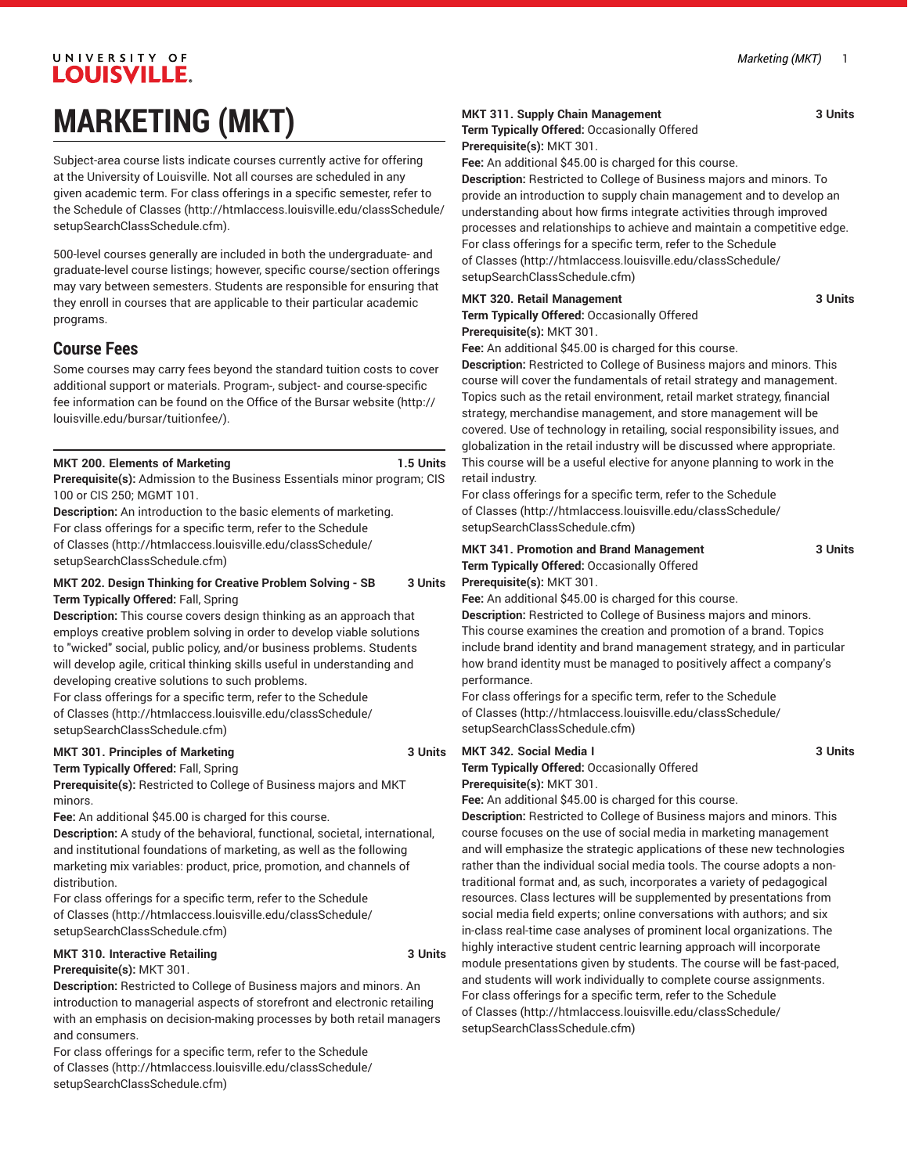# UNIVERSITY OF **LOUISVILLE. MARKETING (MKT)**

Subject-area course lists indicate courses currently active for offering at the University of Louisville. Not all courses are scheduled in any given academic term. For class offerings in a specific semester, refer to the [Schedule of Classes](http://htmlaccess.louisville.edu/classSchedule/setupSearchClassSchedule.cfm) ([http://htmlaccess.louisville.edu/classSchedule/](http://htmlaccess.louisville.edu/classSchedule/setupSearchClassSchedule.cfm) [setupSearchClassSchedule.cfm\)](http://htmlaccess.louisville.edu/classSchedule/setupSearchClassSchedule.cfm).

500-level courses generally are included in both the undergraduate- and graduate-level course listings; however, specific course/section offerings may vary between semesters. Students are responsible for ensuring that they enroll in courses that are applicable to their particular academic programs.

### **Course Fees**

Some courses may carry fees beyond the standard tuition costs to cover additional support or materials. Program-, subject- and course-specific fee information can be found on the [Office of the Bursar website](http://louisville.edu/bursar/tuitionfee/) ([http://](http://louisville.edu/bursar/tuitionfee/) [louisville.edu/bursar/tuitionfee/](http://louisville.edu/bursar/tuitionfee/)).

### **MKT 200. Elements of Marketing 1.5 Units**

**Prerequisite(s):** Admission to the Business Essentials minor program; CIS 100 or CIS 250; MGMT 101.

**Description:** An introduction to the basic elements of marketing. For class offerings for a specific term, refer to the [Schedule](http://htmlaccess.louisville.edu/classSchedule/setupSearchClassSchedule.cfm) [of Classes \(http://htmlaccess.louisville.edu/classSchedule/](http://htmlaccess.louisville.edu/classSchedule/setupSearchClassSchedule.cfm) [setupSearchClassSchedule.cfm\)](http://htmlaccess.louisville.edu/classSchedule/setupSearchClassSchedule.cfm)

### **MKT 202. Design Thinking for Creative Problem Solving - SB 3 Units Term Typically Offered:** Fall, Spring

**Description:** This course covers design thinking as an approach that employs creative problem solving in order to develop viable solutions to "wicked" social, public policy, and/or business problems. Students will develop agile, critical thinking skills useful in understanding and developing creative solutions to such problems.

For class offerings for a specific term, refer to the [Schedule](http://htmlaccess.louisville.edu/classSchedule/setupSearchClassSchedule.cfm) [of Classes \(http://htmlaccess.louisville.edu/classSchedule/](http://htmlaccess.louisville.edu/classSchedule/setupSearchClassSchedule.cfm) [setupSearchClassSchedule.cfm\)](http://htmlaccess.louisville.edu/classSchedule/setupSearchClassSchedule.cfm)

### **MKT 301. Principles of Marketing 3 Units**

**Term Typically Offered:** Fall, Spring

**Prerequisite(s):** Restricted to College of Business majors and MKT minors.

**Fee:** An additional \$45.00 is charged for this course.

**Description:** A study of the behavioral, functional, societal, international, and institutional foundations of marketing, as well as the following marketing mix variables: product, price, promotion, and channels of distribution.

For class offerings for a specific term, refer to the [Schedule](http://htmlaccess.louisville.edu/classSchedule/setupSearchClassSchedule.cfm) [of Classes \(http://htmlaccess.louisville.edu/classSchedule/](http://htmlaccess.louisville.edu/classSchedule/setupSearchClassSchedule.cfm) [setupSearchClassSchedule.cfm\)](http://htmlaccess.louisville.edu/classSchedule/setupSearchClassSchedule.cfm)

### **MKT 310. Interactive Retailing 3 Units Prerequisite(s):** MKT 301.

**Description:** Restricted to College of Business majors and minors. An introduction to managerial aspects of storefront and electronic retailing with an emphasis on decision-making processes by both retail managers and consumers.

For class offerings for a specific term, refer to the [Schedule](http://htmlaccess.louisville.edu/classSchedule/setupSearchClassSchedule.cfm) [of Classes \(http://htmlaccess.louisville.edu/classSchedule/](http://htmlaccess.louisville.edu/classSchedule/setupSearchClassSchedule.cfm) [setupSearchClassSchedule.cfm\)](http://htmlaccess.louisville.edu/classSchedule/setupSearchClassSchedule.cfm)

#### **MKT 311. Supply Chain Management 3 Units**

**Term Typically Offered:** Occasionally Offered

```
Prerequisite(s): MKT 301.
```
**Fee:** An additional \$45.00 is charged for this course.

**Description:** Restricted to College of Business majors and minors. To provide an introduction to supply chain management and to develop an understanding about how firms integrate activities through improved processes and relationships to achieve and maintain a competitive edge. For class offerings for a specific term, refer to the [Schedule](http://htmlaccess.louisville.edu/classSchedule/setupSearchClassSchedule.cfm) [of Classes](http://htmlaccess.louisville.edu/classSchedule/setupSearchClassSchedule.cfm) ([http://htmlaccess.louisville.edu/classSchedule/](http://htmlaccess.louisville.edu/classSchedule/setupSearchClassSchedule.cfm) [setupSearchClassSchedule.cfm\)](http://htmlaccess.louisville.edu/classSchedule/setupSearchClassSchedule.cfm)

### **MKT 320. Retail Management 3 Units** 3 Units

### **Term Typically Offered:** Occasionally Offered **Prerequisite(s):** MKT 301.

**Fee:** An additional \$45.00 is charged for this course.

**Description:** Restricted to College of Business majors and minors. This course will cover the fundamentals of retail strategy and management. Topics such as the retail environment, retail market strategy, financial strategy, merchandise management, and store management will be covered. Use of technology in retailing, social responsibility issues, and globalization in the retail industry will be discussed where appropriate. This course will be a useful elective for anyone planning to work in the retail industry.

For class offerings for a specific term, refer to the [Schedule](http://htmlaccess.louisville.edu/classSchedule/setupSearchClassSchedule.cfm) [of Classes](http://htmlaccess.louisville.edu/classSchedule/setupSearchClassSchedule.cfm) ([http://htmlaccess.louisville.edu/classSchedule/](http://htmlaccess.louisville.edu/classSchedule/setupSearchClassSchedule.cfm) [setupSearchClassSchedule.cfm\)](http://htmlaccess.louisville.edu/classSchedule/setupSearchClassSchedule.cfm)

### **MKT 341. Promotion and Brand Management 3 Units Term Typically Offered:** Occasionally Offered **Prerequisite(s):** MKT 301.

**Fee:** An additional \$45.00 is charged for this course.

**Description:** Restricted to College of Business majors and minors. This course examines the creation and promotion of a brand. Topics include brand identity and brand management strategy, and in particular how brand identity must be managed to positively affect a company's performance.

For class offerings for a specific term, refer to the [Schedule](http://htmlaccess.louisville.edu/classSchedule/setupSearchClassSchedule.cfm) [of Classes](http://htmlaccess.louisville.edu/classSchedule/setupSearchClassSchedule.cfm) ([http://htmlaccess.louisville.edu/classSchedule/](http://htmlaccess.louisville.edu/classSchedule/setupSearchClassSchedule.cfm) [setupSearchClassSchedule.cfm\)](http://htmlaccess.louisville.edu/classSchedule/setupSearchClassSchedule.cfm)

### **MKT 342. Social Media I 3 Units** 3 Units

**Term Typically Offered:** Occasionally Offered **Prerequisite(s):** MKT 301.

**Fee:** An additional \$45.00 is charged for this course.

**Description:** Restricted to College of Business majors and minors. This course focuses on the use of social media in marketing management and will emphasize the strategic applications of these new technologies rather than the individual social media tools. The course adopts a nontraditional format and, as such, incorporates a variety of pedagogical resources. Class lectures will be supplemented by presentations from social media field experts; online conversations with authors; and six in-class real-time case analyses of prominent local organizations. The highly interactive student centric learning approach will incorporate module presentations given by students. The course will be fast-paced, and students will work individually to complete course assignments. For class offerings for a specific term, refer to the [Schedule](http://htmlaccess.louisville.edu/classSchedule/setupSearchClassSchedule.cfm) [of Classes](http://htmlaccess.louisville.edu/classSchedule/setupSearchClassSchedule.cfm) ([http://htmlaccess.louisville.edu/classSchedule/](http://htmlaccess.louisville.edu/classSchedule/setupSearchClassSchedule.cfm) [setupSearchClassSchedule.cfm\)](http://htmlaccess.louisville.edu/classSchedule/setupSearchClassSchedule.cfm)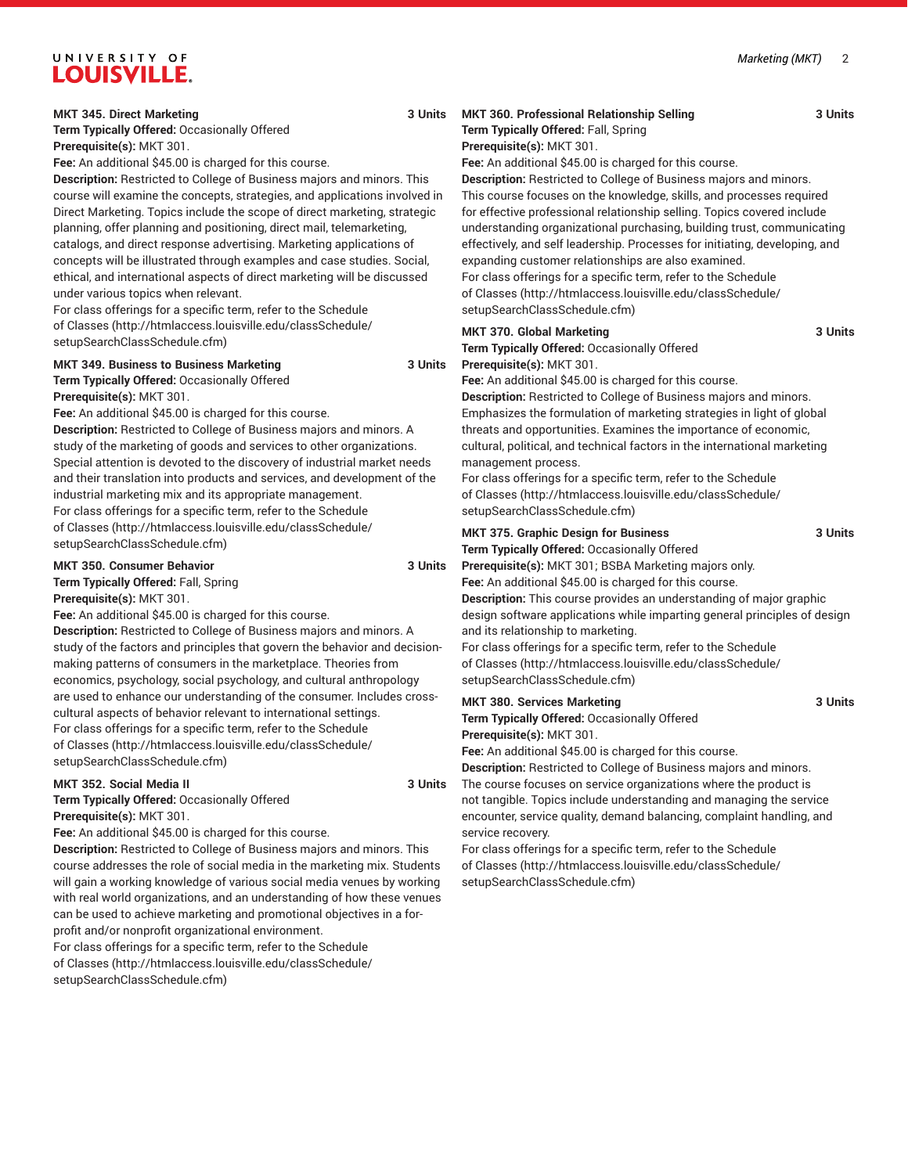## UNIVERSITY OF **LOUISVILLE.**

### **MKT 345. Direct Marketing 3 Units**

**Term Typically Offered:** Occasionally Offered **Prerequisite(s):** MKT 301.

**Fee:** An additional \$45.00 is charged for this course.

**Description:** Restricted to College of Business majors and minors. This course will examine the concepts, strategies, and applications involved in Direct Marketing. Topics include the scope of direct marketing, strategic planning, offer planning and positioning, direct mail, telemarketing, catalogs, and direct response advertising. Marketing applications of concepts will be illustrated through examples and case studies. Social, ethical, and international aspects of direct marketing will be discussed under various topics when relevant.

For class offerings for a specific term, refer to the [Schedule](http://htmlaccess.louisville.edu/classSchedule/setupSearchClassSchedule.cfm) [of Classes \(http://htmlaccess.louisville.edu/classSchedule/](http://htmlaccess.louisville.edu/classSchedule/setupSearchClassSchedule.cfm) [setupSearchClassSchedule.cfm\)](http://htmlaccess.louisville.edu/classSchedule/setupSearchClassSchedule.cfm)

### **MKT 349. Business to Business Marketing 3 Units Term Typically Offered:** Occasionally Offered

**Prerequisite(s):** MKT 301.

**Fee:** An additional \$45.00 is charged for this course.

**Description:** Restricted to College of Business majors and minors. A study of the marketing of goods and services to other organizations. Special attention is devoted to the discovery of industrial market needs and their translation into products and services, and development of the industrial marketing mix and its appropriate management. For class offerings for a specific term, refer to the [Schedule](http://htmlaccess.louisville.edu/classSchedule/setupSearchClassSchedule.cfm) [of Classes \(http://htmlaccess.louisville.edu/classSchedule/](http://htmlaccess.louisville.edu/classSchedule/setupSearchClassSchedule.cfm) [setupSearchClassSchedule.cfm\)](http://htmlaccess.louisville.edu/classSchedule/setupSearchClassSchedule.cfm)

### **MKT 350. Consumer Behavior 3 Units**

**Term Typically Offered:** Fall, Spring

**Prerequisite(s):** MKT 301.

**Fee:** An additional \$45.00 is charged for this course.

**Description:** Restricted to College of Business majors and minors. A study of the factors and principles that govern the behavior and decisionmaking patterns of consumers in the marketplace. Theories from economics, psychology, social psychology, and cultural anthropology are used to enhance our understanding of the consumer. Includes crosscultural aspects of behavior relevant to international settings. For class offerings for a specific term, refer to the [Schedule](http://htmlaccess.louisville.edu/classSchedule/setupSearchClassSchedule.cfm) [of Classes \(http://htmlaccess.louisville.edu/classSchedule/](http://htmlaccess.louisville.edu/classSchedule/setupSearchClassSchedule.cfm) [setupSearchClassSchedule.cfm\)](http://htmlaccess.louisville.edu/classSchedule/setupSearchClassSchedule.cfm)

### **MKT 352. Social Media II 3 Units** 3 Units

**Term Typically Offered:** Occasionally Offered **Prerequisite(s):** MKT 301.

**Fee:** An additional \$45.00 is charged for this course.

**Description:** Restricted to College of Business majors and minors. This course addresses the role of social media in the marketing mix. Students will gain a working knowledge of various social media venues by working with real world organizations, and an understanding of how these venues can be used to achieve marketing and promotional objectives in a forprofit and/or nonprofit organizational environment.

For class offerings for a specific term, refer to the [Schedule](http://htmlaccess.louisville.edu/classSchedule/setupSearchClassSchedule.cfm) [of Classes \(http://htmlaccess.louisville.edu/classSchedule/](http://htmlaccess.louisville.edu/classSchedule/setupSearchClassSchedule.cfm) [setupSearchClassSchedule.cfm\)](http://htmlaccess.louisville.edu/classSchedule/setupSearchClassSchedule.cfm)

### **MKT 360. Professional Relationship Selling 3 Units**

**Term Typically Offered:** Fall, Spring **Prerequisite(s):** MKT 301.

**Fee:** An additional \$45.00 is charged for this course.

**Description:** Restricted to College of Business majors and minors. This course focuses on the knowledge, skills, and processes required for effective professional relationship selling. Topics covered include understanding organizational purchasing, building trust, communicating effectively, and self leadership. Processes for initiating, developing, and expanding customer relationships are also examined.

For class offerings for a specific term, refer to the [Schedule](http://htmlaccess.louisville.edu/classSchedule/setupSearchClassSchedule.cfm) [of Classes](http://htmlaccess.louisville.edu/classSchedule/setupSearchClassSchedule.cfm) ([http://htmlaccess.louisville.edu/classSchedule/](http://htmlaccess.louisville.edu/classSchedule/setupSearchClassSchedule.cfm) [setupSearchClassSchedule.cfm\)](http://htmlaccess.louisville.edu/classSchedule/setupSearchClassSchedule.cfm)

#### **MKT 370. Global Marketing 3 Units**

**Term Typically Offered:** Occasionally Offered

**Prerequisite(s):** MKT 301.

**Fee:** An additional \$45.00 is charged for this course.

**Description:** Restricted to College of Business majors and minors. Emphasizes the formulation of marketing strategies in light of global threats and opportunities. Examines the importance of economic, cultural, political, and technical factors in the international marketing management process.

For class offerings for a specific term, refer to the [Schedule](http://htmlaccess.louisville.edu/classSchedule/setupSearchClassSchedule.cfm) [of Classes](http://htmlaccess.louisville.edu/classSchedule/setupSearchClassSchedule.cfm) ([http://htmlaccess.louisville.edu/classSchedule/](http://htmlaccess.louisville.edu/classSchedule/setupSearchClassSchedule.cfm) [setupSearchClassSchedule.cfm\)](http://htmlaccess.louisville.edu/classSchedule/setupSearchClassSchedule.cfm)

### **MKT 375. Graphic Design for Business 3 Units**

**Term Typically Offered:** Occasionally Offered

**Prerequisite(s):** MKT 301; BSBA Marketing majors only.

**Fee:** An additional \$45.00 is charged for this course.

**Description:** This course provides an understanding of major graphic design software applications while imparting general principles of design and its relationship to marketing.

For class offerings for a specific term, refer to the [Schedule](http://htmlaccess.louisville.edu/classSchedule/setupSearchClassSchedule.cfm) [of Classes](http://htmlaccess.louisville.edu/classSchedule/setupSearchClassSchedule.cfm) ([http://htmlaccess.louisville.edu/classSchedule/](http://htmlaccess.louisville.edu/classSchedule/setupSearchClassSchedule.cfm) [setupSearchClassSchedule.cfm\)](http://htmlaccess.louisville.edu/classSchedule/setupSearchClassSchedule.cfm)

### **MKT 380. Services Marketing 3 Units**

**Term Typically Offered:** Occasionally Offered **Prerequisite(s):** MKT 301.

**Fee:** An additional \$45.00 is charged for this course. **Description:** Restricted to College of Business majors and minors. The course focuses on service organizations where the product is not tangible. Topics include understanding and managing the service encounter, service quality, demand balancing, complaint handling, and service recovery.

For class offerings for a specific term, refer to the [Schedule](http://htmlaccess.louisville.edu/classSchedule/setupSearchClassSchedule.cfm) [of Classes](http://htmlaccess.louisville.edu/classSchedule/setupSearchClassSchedule.cfm) ([http://htmlaccess.louisville.edu/classSchedule/](http://htmlaccess.louisville.edu/classSchedule/setupSearchClassSchedule.cfm) [setupSearchClassSchedule.cfm\)](http://htmlaccess.louisville.edu/classSchedule/setupSearchClassSchedule.cfm)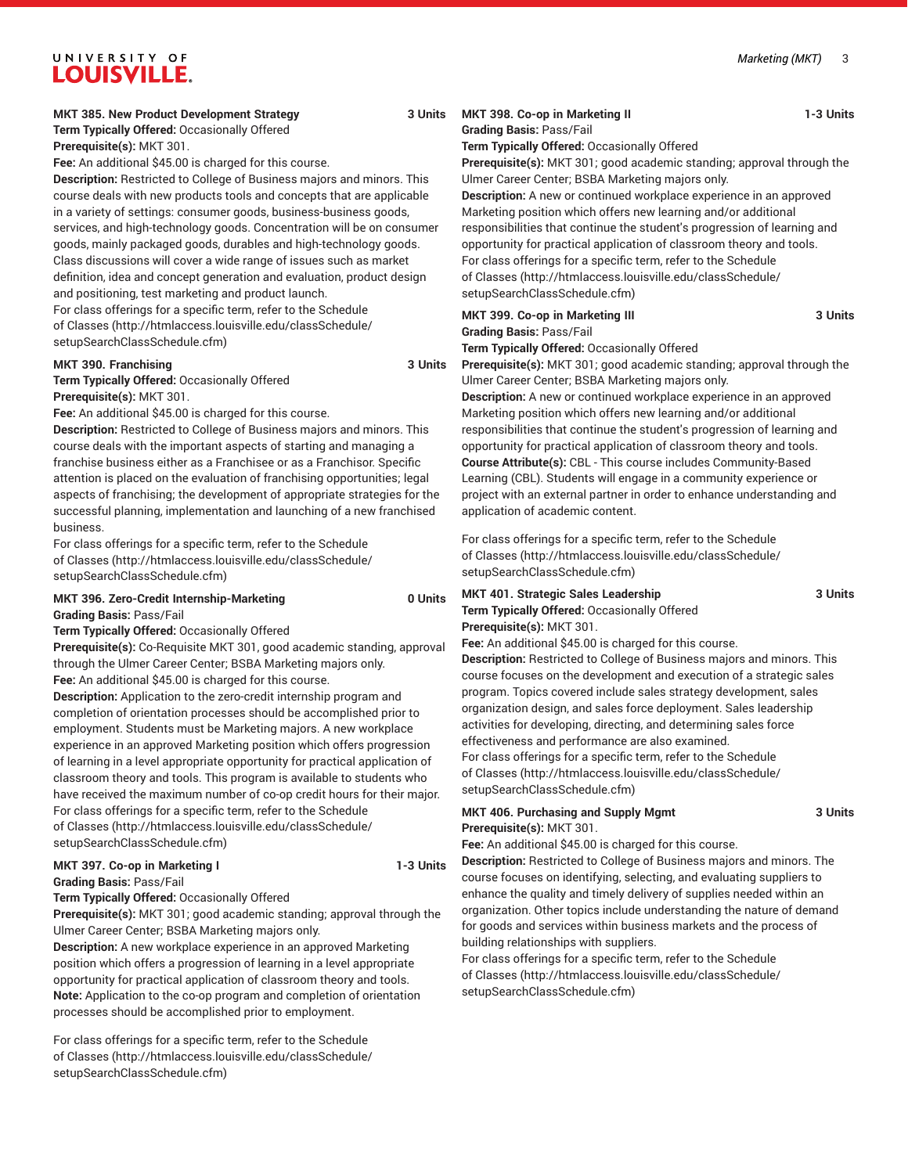## UNIVERSITY OF **LOUISVILLE.**

### **MKT 385. New Product Development Strategy 3 Units**

**Term Typically Offered:** Occasionally Offered **Prerequisite(s):** MKT 301.

**Fee:** An additional \$45.00 is charged for this course.

**Description:** Restricted to College of Business majors and minors. This course deals with new products tools and concepts that are applicable in a variety of settings: consumer goods, business-business goods, services, and high-technology goods. Concentration will be on consumer goods, mainly packaged goods, durables and high-technology goods. Class discussions will cover a wide range of issues such as market definition, idea and concept generation and evaluation, product design and positioning, test marketing and product launch.

For class offerings for a specific term, refer to the [Schedule](http://htmlaccess.louisville.edu/classSchedule/setupSearchClassSchedule.cfm) [of Classes \(http://htmlaccess.louisville.edu/classSchedule/](http://htmlaccess.louisville.edu/classSchedule/setupSearchClassSchedule.cfm) [setupSearchClassSchedule.cfm\)](http://htmlaccess.louisville.edu/classSchedule/setupSearchClassSchedule.cfm)

### **MKT 390. Franchising 3 Units**

**Term Typically Offered:** Occasionally Offered **Prerequisite(s):** MKT 301.

**Fee:** An additional \$45.00 is charged for this course.

**Description:** Restricted to College of Business majors and minors. This course deals with the important aspects of starting and managing a franchise business either as a Franchisee or as a Franchisor. Specific attention is placed on the evaluation of franchising opportunities; legal aspects of franchising; the development of appropriate strategies for the successful planning, implementation and launching of a new franchised business.

For class offerings for a specific term, refer to the [Schedule](http://htmlaccess.louisville.edu/classSchedule/setupSearchClassSchedule.cfm) [of Classes \(http://htmlaccess.louisville.edu/classSchedule/](http://htmlaccess.louisville.edu/classSchedule/setupSearchClassSchedule.cfm) [setupSearchClassSchedule.cfm\)](http://htmlaccess.louisville.edu/classSchedule/setupSearchClassSchedule.cfm)

#### **MKT 396. Zero-Credit Internship-Marketing 0 Units Grading Basis:** Pass/Fail

**Term Typically Offered:** Occasionally Offered

**Prerequisite(s):** Co-Requisite MKT 301, good academic standing, approval through the Ulmer Career Center; BSBA Marketing majors only. **Fee:** An additional \$45.00 is charged for this course.

**Description:** Application to the zero-credit internship program and completion of orientation processes should be accomplished prior to employment. Students must be Marketing majors. A new workplace experience in an approved Marketing position which offers progression of learning in a level appropriate opportunity for practical application of classroom theory and tools. This program is available to students who have received the maximum number of co-op credit hours for their major. For class offerings for a specific term, refer to the [Schedule](http://htmlaccess.louisville.edu/classSchedule/setupSearchClassSchedule.cfm) [of Classes \(http://htmlaccess.louisville.edu/classSchedule/](http://htmlaccess.louisville.edu/classSchedule/setupSearchClassSchedule.cfm) [setupSearchClassSchedule.cfm\)](http://htmlaccess.louisville.edu/classSchedule/setupSearchClassSchedule.cfm)

### **MKT 397. Co-op in Marketing I 1-3 Units**

**Grading Basis:** Pass/Fail

**Term Typically Offered:** Occasionally Offered

**Prerequisite(s):** MKT 301; good academic standing; approval through the Ulmer Career Center; BSBA Marketing majors only.

**Description:** A new workplace experience in an approved Marketing position which offers a progression of learning in a level appropriate opportunity for practical application of classroom theory and tools. **Note:** Application to the co-op program and completion of orientation processes should be accomplished prior to employment.

For class offerings for a specific term, refer to the [Schedule](http://htmlaccess.louisville.edu/classSchedule/setupSearchClassSchedule.cfm) [of Classes \(http://htmlaccess.louisville.edu/classSchedule/](http://htmlaccess.louisville.edu/classSchedule/setupSearchClassSchedule.cfm) [setupSearchClassSchedule.cfm\)](http://htmlaccess.louisville.edu/classSchedule/setupSearchClassSchedule.cfm)

### **MKT 398. Co-op in Marketing II 1-3 Units**

**Grading Basis:** Pass/Fail **Term Typically Offered:** Occasionally Offered

**Prerequisite(s):** MKT 301; good academic standing; approval through the Ulmer Career Center; BSBA Marketing majors only.

**Description:** A new or continued workplace experience in an approved Marketing position which offers new learning and/or additional responsibilities that continue the student's progression of learning and opportunity for practical application of classroom theory and tools. For class offerings for a specific term, refer to the [Schedule](http://htmlaccess.louisville.edu/classSchedule/setupSearchClassSchedule.cfm) [of Classes](http://htmlaccess.louisville.edu/classSchedule/setupSearchClassSchedule.cfm) ([http://htmlaccess.louisville.edu/classSchedule/](http://htmlaccess.louisville.edu/classSchedule/setupSearchClassSchedule.cfm) [setupSearchClassSchedule.cfm\)](http://htmlaccess.louisville.edu/classSchedule/setupSearchClassSchedule.cfm)

### **MKT 399. Co-op in Marketing III 3 Units Grading Basis:** Pass/Fail

**Term Typically Offered:** Occasionally Offered

**Prerequisite(s):** MKT 301; good academic standing; approval through the Ulmer Career Center; BSBA Marketing majors only.

**Description:** A new or continued workplace experience in an approved Marketing position which offers new learning and/or additional responsibilities that continue the student's progression of learning and opportunity for practical application of classroom theory and tools. **Course Attribute(s):** CBL - This course includes Community-Based Learning (CBL). Students will engage in a community experience or project with an external partner in order to enhance understanding and application of academic content.

For class offerings for a specific term, refer to the [Schedule](http://htmlaccess.louisville.edu/classSchedule/setupSearchClassSchedule.cfm) [of Classes](http://htmlaccess.louisville.edu/classSchedule/setupSearchClassSchedule.cfm) ([http://htmlaccess.louisville.edu/classSchedule/](http://htmlaccess.louisville.edu/classSchedule/setupSearchClassSchedule.cfm) [setupSearchClassSchedule.cfm\)](http://htmlaccess.louisville.edu/classSchedule/setupSearchClassSchedule.cfm)

**MKT 401. Strategic Sales Leadership 3 Units Term Typically Offered:** Occasionally Offered **Prerequisite(s):** MKT 301.

**Fee:** An additional \$45.00 is charged for this course. **Description:** Restricted to College of Business majors and minors. This course focuses on the development and execution of a strategic sales program. Topics covered include sales strategy development, sales organization design, and sales force deployment. Sales leadership

activities for developing, directing, and determining sales force effectiveness and performance are also examined. For class offerings for a specific term, refer to the [Schedule](http://htmlaccess.louisville.edu/classSchedule/setupSearchClassSchedule.cfm) [of Classes](http://htmlaccess.louisville.edu/classSchedule/setupSearchClassSchedule.cfm) ([http://htmlaccess.louisville.edu/classSchedule/](http://htmlaccess.louisville.edu/classSchedule/setupSearchClassSchedule.cfm) [setupSearchClassSchedule.cfm\)](http://htmlaccess.louisville.edu/classSchedule/setupSearchClassSchedule.cfm)

### **MKT 406. Purchasing and Supply Mgmt 3 Units Prerequisite(s):** MKT 301.

**Fee:** An additional \$45.00 is charged for this course.

**Description:** Restricted to College of Business majors and minors. The course focuses on identifying, selecting, and evaluating suppliers to enhance the quality and timely delivery of supplies needed within an organization. Other topics include understanding the nature of demand for goods and services within business markets and the process of building relationships with suppliers.

For class offerings for a specific term, refer to the [Schedule](http://htmlaccess.louisville.edu/classSchedule/setupSearchClassSchedule.cfm) [of Classes](http://htmlaccess.louisville.edu/classSchedule/setupSearchClassSchedule.cfm) ([http://htmlaccess.louisville.edu/classSchedule/](http://htmlaccess.louisville.edu/classSchedule/setupSearchClassSchedule.cfm) [setupSearchClassSchedule.cfm\)](http://htmlaccess.louisville.edu/classSchedule/setupSearchClassSchedule.cfm)